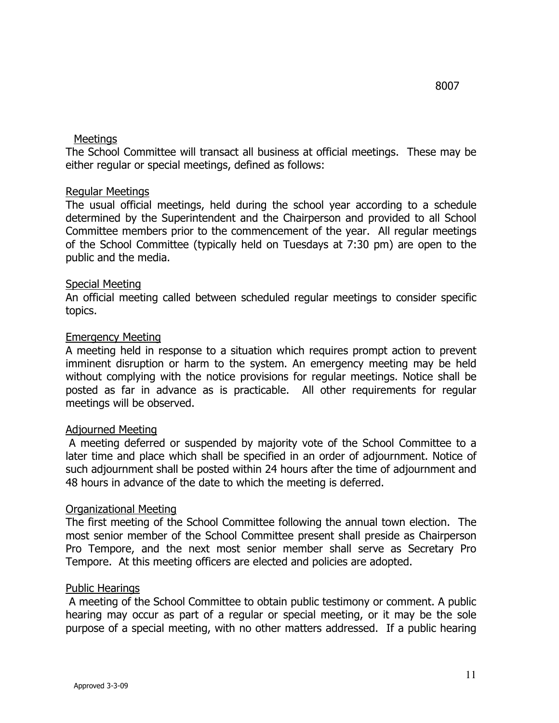### Meetings

 The School Committee will transact all business at official meetings. These may be either regular or special meetings, defined as follows:

### Regular Meetings

 The usual official meetings, held during the school year according to a schedule determined by the Superintendent and the Chairperson and provided to all School Committee members prior to the commencement of the year. All regular meetings of the School Committee (typically held on Tuesdays at 7:30 pm) are open to the public and the media.

### Special Meeting

 An official meeting called between scheduled regular meetings to consider specific topics.

### Emergency Meeting

 A meeting held in response to a situation which requires prompt action to prevent imminent disruption or harm to the system. An emergency meeting may be held without complying with the notice provisions for regular meetings. Notice shall be posted as far in advance as is practicable. All other requirements for regular meetings will be observed.

# Adjourned Meeting

 A meeting deferred or suspended by majority vote of the School Committee to a later time and place which shall be specified in an order of adjournment. Notice of such adjournment shall be posted within 24 hours after the time of adjournment and 48 hours in advance of the date to which the meeting is deferred.

# Organizational Meeting

 The first meeting of the School Committee following the annual town election. The most senior member of the School Committee present shall preside as Chairperson Pro Tempore, and the next most senior member shall serve as Secretary Pro Tempore. At this meeting officers are elected and policies are adopted.

# Public Hearings

 A meeting of the School Committee to obtain public testimony or comment. A public hearing may occur as part of a regular or special meeting, or it may be the sole purpose of a special meeting, with no other matters addressed. If a public hearing